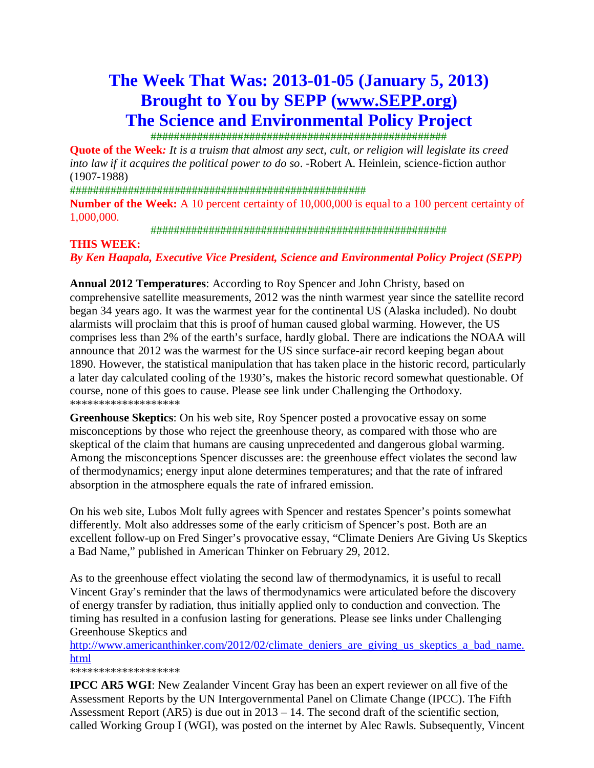# **The Week That Was: 2013-01-05 (January 5, 2013) Brought to You by SEPP (www.SEPP.org) The Science and Environmental Policy Project**

###################################################

**Quote of the Week***: It is a truism that almost any sect, cult, or religion will legislate its creed into law if it acquires the political power to do so*. -Robert A. Heinlein, science-fiction author (1907-1988)

################################################### **Number of the Week:** A 10 percent certainty of 10,000,000 is equal to a 100 percent certainty of 1,000,000.

###################################################

#### **THIS WEEK:**

*By Ken Haapala, Executive Vice President, Science and Environmental Policy Project (SEPP)* 

**Annual 2012 Temperatures**: According to Roy Spencer and John Christy, based on comprehensive satellite measurements, 2012 was the ninth warmest year since the satellite record began 34 years ago. It was the warmest year for the continental US (Alaska included). No doubt alarmists will proclaim that this is proof of human caused global warming. However, the US comprises less than 2% of the earth's surface, hardly global. There are indications the NOAA will announce that 2012 was the warmest for the US since surface-air record keeping began about 1890. However, the statistical manipulation that has taken place in the historic record, particularly a later day calculated cooling of the 1930's, makes the historic record somewhat questionable. Of course, none of this goes to cause. Please see link under Challenging the Orthodoxy. \*\*\*\*\*\*\*\*\*\*\*\*\*\*\*\*\*\*\*

**Greenhouse Skeptics**: On his web site, Roy Spencer posted a provocative essay on some misconceptions by those who reject the greenhouse theory, as compared with those who are skeptical of the claim that humans are causing unprecedented and dangerous global warming. Among the misconceptions Spencer discusses are: the greenhouse effect violates the second law of thermodynamics; energy input alone determines temperatures; and that the rate of infrared absorption in the atmosphere equals the rate of infrared emission.

On his web site, Lubos Molt fully agrees with Spencer and restates Spencer's points somewhat differently. Molt also addresses some of the early criticism of Spencer's post. Both are an excellent follow-up on Fred Singer's provocative essay, "Climate Deniers Are Giving Us Skeptics a Bad Name," published in American Thinker on February 29, 2012.

As to the greenhouse effect violating the second law of thermodynamics, it is useful to recall Vincent Gray's reminder that the laws of thermodynamics were articulated before the discovery of energy transfer by radiation, thus initially applied only to conduction and convection. The timing has resulted in a confusion lasting for generations. Please see links under Challenging Greenhouse Skeptics and

http://www.americanthinker.com/2012/02/climate\_deniers\_are\_giving\_us\_skeptics\_a\_bad\_name. html

\*\*\*\*\*\*\*\*\*\*\*\*\*\*\*\*\*\*\*

**IPCC AR5 WGI**: New Zealander Vincent Gray has been an expert reviewer on all five of the Assessment Reports by the UN Intergovernmental Panel on Climate Change (IPCC). The Fifth Assessment Report (AR5) is due out in 2013 – 14. The second draft of the scientific section, called Working Group I (WGI), was posted on the internet by Alec Rawls. Subsequently, Vincent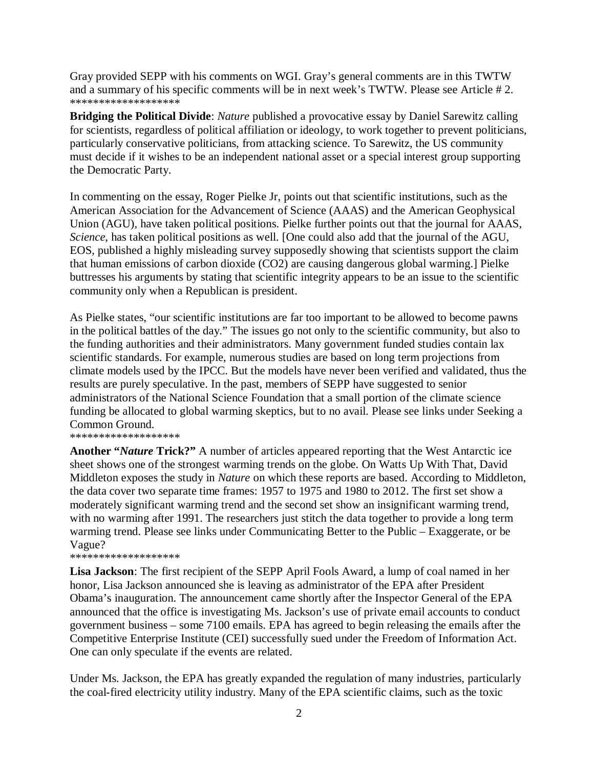Gray provided SEPP with his comments on WGI. Gray's general comments are in this TWTW and a summary of his specific comments will be in next week's TWTW. Please see Article # 2. \*\*\*\*\*\*\*\*\*\*\*\*\*\*\*\*\*\*\*

**Bridging the Political Divide**: *Nature* published a provocative essay by Daniel Sarewitz calling for scientists, regardless of political affiliation or ideology, to work together to prevent politicians, particularly conservative politicians, from attacking science. To Sarewitz, the US community must decide if it wishes to be an independent national asset or a special interest group supporting the Democratic Party.

In commenting on the essay, Roger Pielke Jr, points out that scientific institutions, such as the American Association for the Advancement of Science (AAAS) and the American Geophysical Union (AGU), have taken political positions. Pielke further points out that the journal for AAAS, *Science*, has taken political positions as well. [One could also add that the journal of the AGU, EOS, published a highly misleading survey supposedly showing that scientists support the claim that human emissions of carbon dioxide (CO2) are causing dangerous global warming.] Pielke buttresses his arguments by stating that scientific integrity appears to be an issue to the scientific community only when a Republican is president.

As Pielke states, "our scientific institutions are far too important to be allowed to become pawns in the political battles of the day." The issues go not only to the scientific community, but also to the funding authorities and their administrators. Many government funded studies contain lax scientific standards. For example, numerous studies are based on long term projections from climate models used by the IPCC. But the models have never been verified and validated, thus the results are purely speculative. In the past, members of SEPP have suggested to senior administrators of the National Science Foundation that a small portion of the climate science funding be allocated to global warming skeptics, but to no avail. Please see links under Seeking a Common Ground.

\*\*\*\*\*\*\*\*\*\*\*\*\*\*\*\*\*\*\*

**Another "***Nature* **Trick?"** A number of articles appeared reporting that the West Antarctic ice sheet shows one of the strongest warming trends on the globe. On Watts Up With That, David Middleton exposes the study in *Nature* on which these reports are based. According to Middleton, the data cover two separate time frames: 1957 to 1975 and 1980 to 2012. The first set show a moderately significant warming trend and the second set show an insignificant warming trend, with no warming after 1991. The researchers just stitch the data together to provide a long term warming trend. Please see links under Communicating Better to the Public – Exaggerate, or be Vague?

\*\*\*\*\*\*\*\*\*\*\*\*\*\*\*\*\*\*\*

**Lisa Jackson**: The first recipient of the SEPP April Fools Award, a lump of coal named in her honor, Lisa Jackson announced she is leaving as administrator of the EPA after President Obama's inauguration. The announcement came shortly after the Inspector General of the EPA announced that the office is investigating Ms. Jackson's use of private email accounts to conduct government business – some 7100 emails. EPA has agreed to begin releasing the emails after the Competitive Enterprise Institute (CEI) successfully sued under the Freedom of Information Act. One can only speculate if the events are related.

Under Ms. Jackson, the EPA has greatly expanded the regulation of many industries, particularly the coal-fired electricity utility industry. Many of the EPA scientific claims, such as the toxic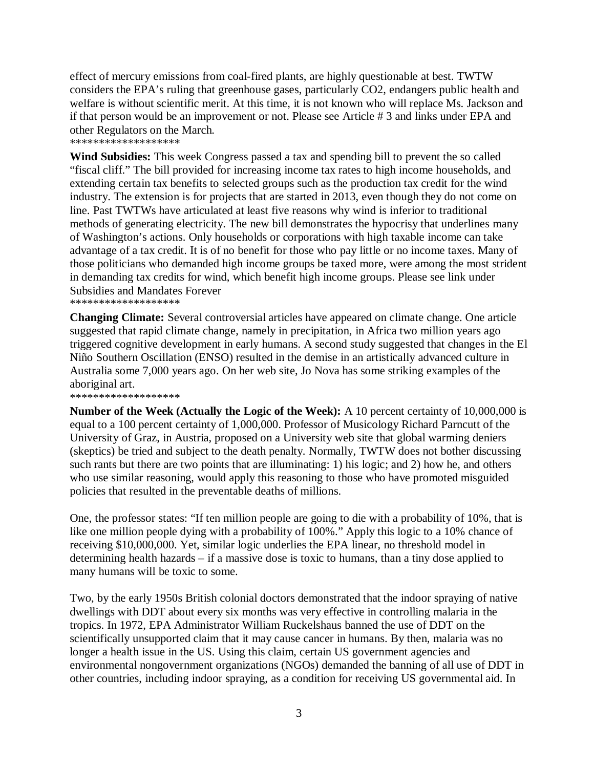effect of mercury emissions from coal-fired plants, are highly questionable at best. TWTW considers the EPA's ruling that greenhouse gases, particularly CO2, endangers public health and welfare is without scientific merit. At this time, it is not known who will replace Ms. Jackson and if that person would be an improvement or not. Please see Article # 3 and links under EPA and other Regulators on the March.

\*\*\*\*\*\*\*\*\*\*\*\*\*\*\*\*\*\*\*

**Wind Subsidies:** This week Congress passed a tax and spending bill to prevent the so called "fiscal cliff." The bill provided for increasing income tax rates to high income households, and extending certain tax benefits to selected groups such as the production tax credit for the wind industry. The extension is for projects that are started in 2013, even though they do not come on line. Past TWTWs have articulated at least five reasons why wind is inferior to traditional methods of generating electricity. The new bill demonstrates the hypocrisy that underlines many of Washington's actions. Only households or corporations with high taxable income can take advantage of a tax credit. It is of no benefit for those who pay little or no income taxes. Many of those politicians who demanded high income groups be taxed more, were among the most strident in demanding tax credits for wind, which benefit high income groups. Please see link under Subsidies and Mandates Forever

\*\*\*\*\*\*\*\*\*\*\*\*\*\*\*\*\*\*\*

**Changing Climate:** Several controversial articles have appeared on climate change. One article suggested that rapid climate change, namely in precipitation, in Africa two million years ago triggered cognitive development in early humans. A second study suggested that changes in the El Niño Southern Oscillation (ENSO) resulted in the demise in an artistically advanced culture in Australia some 7,000 years ago. On her web site, Jo Nova has some striking examples of the aboriginal art.

\*\*\*\*\*\*\*\*\*\*\*\*\*\*\*\*\*\*\*

**Number of the Week (Actually the Logic of the Week):** A 10 percent certainty of 10,000,000 is equal to a 100 percent certainty of 1,000,000. Professor of Musicology Richard Parncutt of the University of Graz, in Austria, proposed on a University web site that global warming deniers (skeptics) be tried and subject to the death penalty. Normally, TWTW does not bother discussing such rants but there are two points that are illuminating: 1) his logic; and 2) how he, and others who use similar reasoning, would apply this reasoning to those who have promoted misguided policies that resulted in the preventable deaths of millions.

One, the professor states: "If ten million people are going to die with a probability of 10%, that is like one million people dying with a probability of 100%." Apply this logic to a 10% chance of receiving \$10,000,000. Yet, similar logic underlies the EPA linear, no threshold model in determining health hazards – if a massive dose is toxic to humans, than a tiny dose applied to many humans will be toxic to some.

Two, by the early 1950s British colonial doctors demonstrated that the indoor spraying of native dwellings with DDT about every six months was very effective in controlling malaria in the tropics. In 1972, EPA Administrator William Ruckelshaus banned the use of DDT on the scientifically unsupported claim that it may cause cancer in humans. By then, malaria was no longer a health issue in the US. Using this claim, certain US government agencies and environmental nongovernment organizations (NGOs) demanded the banning of all use of DDT in other countries, including indoor spraying, as a condition for receiving US governmental aid. In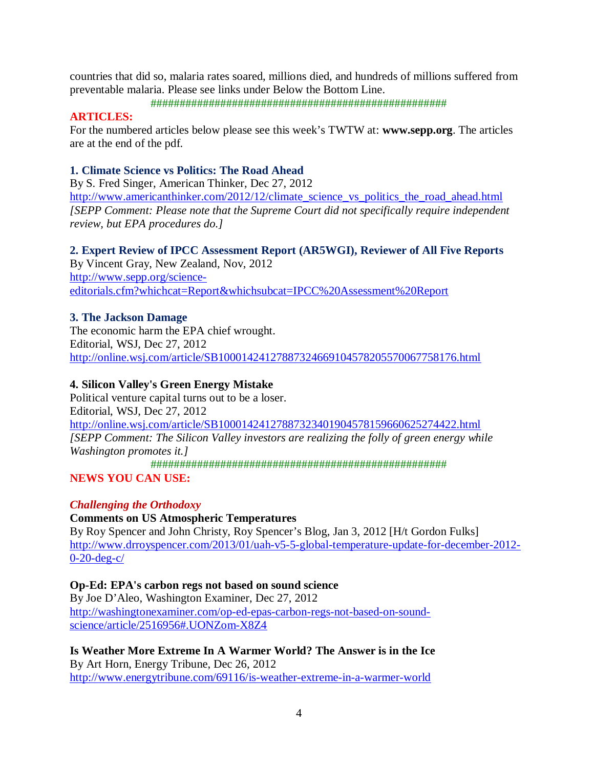countries that did so, malaria rates soared, millions died, and hundreds of millions suffered from preventable malaria. Please see links under Below the Bottom Line.

###################################################

## **ARTICLES:**

For the numbered articles below please see this week's TWTW at: **www.sepp.org**. The articles are at the end of the pdf.

### **1. Climate Science vs Politics: The Road Ahead**

By S. Fred Singer, American Thinker, Dec 27, 2012 http://www.americanthinker.com/2012/12/climate\_science\_vs\_politics\_the\_road\_ahead.html *[SEPP Comment: Please note that the Supreme Court did not specifically require independent review, but EPA procedures do.]* 

**2. Expert Review of IPCC Assessment Report (AR5WGI), Reviewer of All Five Reports**  By Vincent Gray, New Zealand, Nov, 2012

http://www.sepp.org/scienceeditorials.cfm?whichcat=Report&whichsubcat=IPCC%20Assessment%20Report

#### **3. The Jackson Damage**

The economic harm the EPA chief wrought. Editorial, WSJ, Dec 27, 2012 http://online.wsj.com/article/SB10001424127887324669104578205570067758176.html

#### **4. Silicon Valley's Green Energy Mistake**

Political venture capital turns out to be a loser. Editorial, WSJ, Dec 27, 2012 http://online.wsj.com/article/SB10001424127887323401904578159660625274422.html *[SEPP Comment: The Silicon Valley investors are realizing the folly of green energy while Washington promotes it.]* ###################################################

**NEWS YOU CAN USE:** 

## *Challenging the Orthodoxy*

**Comments on US Atmospheric Temperatures** 

By Roy Spencer and John Christy, Roy Spencer's Blog, Jan 3, 2012 [H/t Gordon Fulks] http://www.drroyspencer.com/2013/01/uah-v5-5-global-temperature-update-for-december-2012- 0-20-deg-c/

**Op-Ed: EPA's carbon regs not based on sound science**  By Joe D'Aleo, Washington Examiner, Dec 27, 2012

http://washingtonexaminer.com/op-ed-epas-carbon-regs-not-based-on-soundscience/article/2516956#.UONZom-X8Z4

**Is Weather More Extreme In A Warmer World? The Answer is in the Ice**  By Art Horn, Energy Tribune, Dec 26, 2012 http://www.energytribune.com/69116/is-weather-extreme-in-a-warmer-world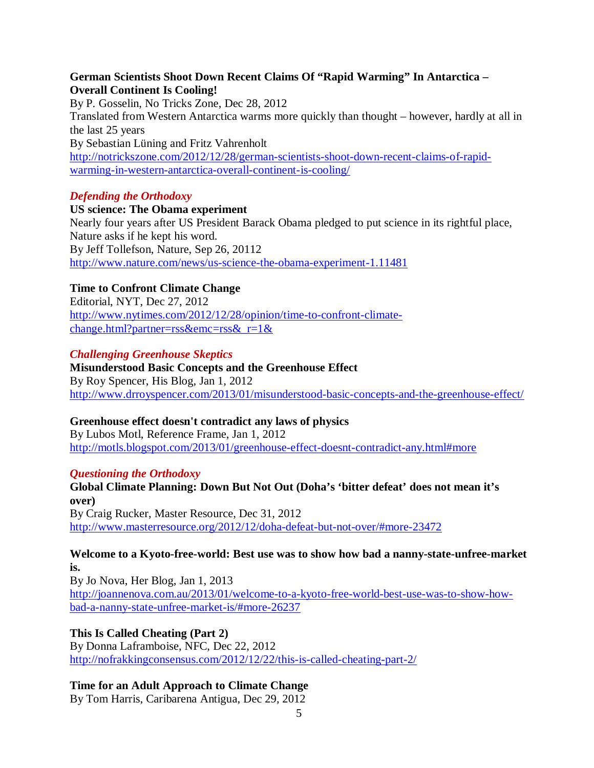### **German Scientists Shoot Down Recent Claims Of "Rapid Warming" In Antarctica – Overall Continent Is Cooling!**

By P. Gosselin, No Tricks Zone, Dec 28, 2012 Translated from Western Antarctica warms more quickly than thought – however, hardly at all in the last 25 years By Sebastian Lüning and Fritz Vahrenholt http://notrickszone.com/2012/12/28/german-scientists-shoot-down-recent-claims-of-rapidwarming-in-western-antarctica-overall-continent-is-cooling/

#### *Defending the Orthodoxy*

**US science: The Obama experiment**  Nearly four years after US President Barack Obama pledged to put science in its rightful place, Nature asks if he kept his word. By Jeff Tollefson, Nature, Sep 26, 20112 http://www.nature.com/news/us-science-the-obama-experiment-1.11481

## **Time to Confront Climate Change**

Editorial, NYT, Dec 27, 2012 http://www.nytimes.com/2012/12/28/opinion/time-to-confront-climatechange.html?partner=rss&emc=rss& $r=1$ &

#### *Challenging Greenhouse Skeptics*

## **Misunderstood Basic Concepts and the Greenhouse Effect**  By Roy Spencer, His Blog, Jan 1, 2012 http://www.drroyspencer.com/2013/01/misunderstood-basic-concepts-and-the-greenhouse-effect/

## **Greenhouse effect doesn't contradict any laws of physics**

By Lubos Motl, Reference Frame, Jan 1, 2012 http://motls.blogspot.com/2013/01/greenhouse-effect-doesnt-contradict-any.html#more

#### *Questioning the Orthodoxy*

**Global Climate Planning: Down But Not Out (Doha's 'bitter defeat' does not mean it's over)**  By Craig Rucker, Master Resource, Dec 31, 2012 http://www.masterresource.org/2012/12/doha-defeat-but-not-over/#more-23472

#### **Welcome to a Kyoto-free-world: Best use was to show how bad a nanny-state-unfree-market is.**

By Jo Nova, Her Blog, Jan 1, 2013 http://joannenova.com.au/2013/01/welcome-to-a-kyoto-free-world-best-use-was-to-show-howbad-a-nanny-state-unfree-market-is/#more-26237

## **This Is Called Cheating (Part 2)**

By Donna Laframboise, NFC, Dec 22, 2012 http://nofrakkingconsensus.com/2012/12/22/this-is-called-cheating-part-2/

#### **Time for an Adult Approach to Climate Change**

By Tom Harris, Caribarena Antigua, Dec 29, 2012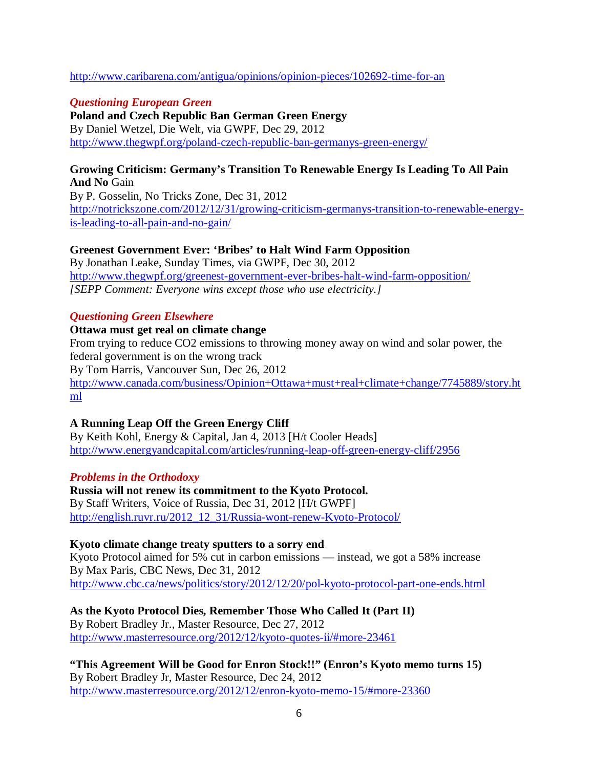#### http://www.caribarena.com/antigua/opinions/opinion-pieces/102692-time-for-an

#### *Questioning European Green*

**Poland and Czech Republic Ban German Green Energy**  By Daniel Wetzel, Die Welt, via GWPF, Dec 29, 2012 http://www.thegwpf.org/poland-czech-republic-ban-germanys-green-energy/

#### **Growing Criticism: Germany's Transition To Renewable Energy Is Leading To All Pain And No** Gain

By P. Gosselin, No Tricks Zone, Dec 31, 2012 http://notrickszone.com/2012/12/31/growing-criticism-germanys-transition-to-renewable-energyis-leading-to-all-pain-and-no-gain/

#### **Greenest Government Ever: 'Bribes' to Halt Wind Farm Opposition**

By Jonathan Leake, Sunday Times, via GWPF, Dec 30, 2012 http://www.thegwpf.org/greenest-government-ever-bribes-halt-wind-farm-opposition/ *[SEPP Comment: Everyone wins except those who use electricity.]* 

## *Questioning Green Elsewhere*

#### **Ottawa must get real on climate change**

From trying to reduce CO2 emissions to throwing money away on wind and solar power, the federal government is on the wrong track By Tom Harris, Vancouver Sun, Dec 26, 2012 http://www.canada.com/business/Opinion+Ottawa+must+real+climate+change/7745889/story.ht ml

## **A Running Leap Off the Green Energy Cliff**

By Keith Kohl, Energy & Capital, Jan 4, 2013 [H/t Cooler Heads] http://www.energyandcapital.com/articles/running-leap-off-green-energy-cliff/2956

## *Problems in the Orthodoxy*

#### **Russia will not renew its commitment to the Kyoto Protocol.**  By Staff Writers, Voice of Russia, Dec 31, 2012 [H/t GWPF] http://english.ruvr.ru/2012\_12\_31/Russia-wont-renew-Kyoto-Protocol/

## **Kyoto climate change treaty sputters to a sorry end**

Kyoto Protocol aimed for 5% cut in carbon emissions — instead, we got a 58% increase By Max Paris, CBC News, Dec 31, 2012 http://www.cbc.ca/news/politics/story/2012/12/20/pol-kyoto-protocol-part-one-ends.html

## **As the Kyoto Protocol Dies, Remember Those Who Called It (Part II)**

By Robert Bradley Jr., Master Resource, Dec 27, 2012 http://www.masterresource.org/2012/12/kyoto-quotes-ii/#more-23461

**"This Agreement Will be Good for Enron Stock!!" (Enron's Kyoto memo turns 15)**  By Robert Bradley Jr, Master Resource, Dec 24, 2012 http://www.masterresource.org/2012/12/enron-kyoto-memo-15/#more-23360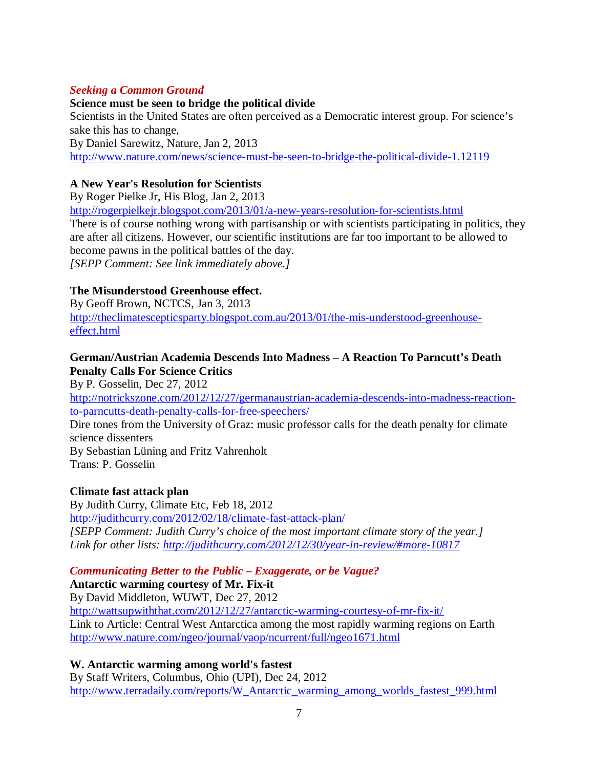## *Seeking a Common Ground*

## **Science must be seen to bridge the political divide**

Scientists in the United States are often perceived as a Democratic interest group. For science's sake this has to change, By Daniel Sarewitz, Nature, Jan 2, 2013 http://www.nature.com/news/science-must-be-seen-to-bridge-the-political-divide-1.12119

## **A New Year's Resolution for Scientists**

By Roger Pielke Jr, His Blog, Jan 2, 2013 http://rogerpielkejr.blogspot.com/2013/01/a-new-years-resolution-for-scientists.html There is of course nothing wrong with partisanship or with scientists participating in politics, they are after all citizens. However, our scientific institutions are far too important to be allowed to become pawns in the political battles of the day. *[SEPP Comment: See link immediately above.]* 

## **The Misunderstood Greenhouse effect.**

By Geoff Brown, NCTCS, Jan 3, 2013 http://theclimatescepticsparty.blogspot.com.au/2013/01/the-mis-understood-greenhouseeffect.html

## **German/Austrian Academia Descends Into Madness – A Reaction To Parncutt's Death Penalty Calls For Science Critics**

By P. Gosselin, Dec 27, 2012

http://notrickszone.com/2012/12/27/germanaustrian-academia-descends-into-madness-reactionto-parncutts-death-penalty-calls-for-free-speechers/

Dire tones from the University of Graz: music professor calls for the death penalty for climate science dissenters

By Sebastian Lüning and Fritz Vahrenholt Trans: P. Gosselin

## **Climate fast attack plan**

By Judith Curry, Climate Etc, Feb 18, 2012 http://judithcurry.com/2012/02/18/climate-fast-attack-plan/ *[SEPP Comment: Judith Curry's choice of the most important climate story of the year.] Link for other lists: http://judithcurry.com/2012/12/30/year-in-review/#more-10817*

## *Communicating Better to the Public – Exaggerate, or be Vague?*

**Antarctic warming courtesy of Mr. Fix-it**  By David Middleton, WUWT, Dec 27, 2012 http://wattsupwiththat.com/2012/12/27/antarctic-warming-courtesy-of-mr-fix-it/ Link to Article: Central West Antarctica among the most rapidly warming regions on Earth http://www.nature.com/ngeo/journal/vaop/ncurrent/full/ngeo1671.html

## **W. Antarctic warming among world's fastest**

By Staff Writers, Columbus, Ohio (UPI), Dec 24, 2012 http://www.terradaily.com/reports/W\_Antarctic\_warming\_among\_worlds\_fastest\_999.html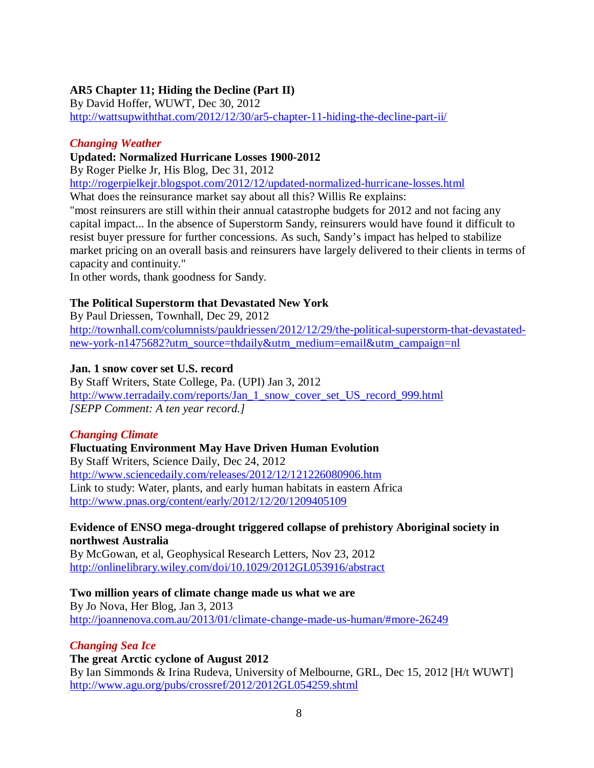## **AR5 Chapter 11; Hiding the Decline (Part II)**

By David Hoffer, WUWT, Dec 30, 2012 http://wattsupwiththat.com/2012/12/30/ar5-chapter-11-hiding-the-decline-part-ii/

#### *Changing Weather*

### **Updated: Normalized Hurricane Losses 1900-2012**

By Roger Pielke Jr, His Blog, Dec 31, 2012

http://rogerpielkejr.blogspot.com/2012/12/updated-normalized-hurricane-losses.html

What does the reinsurance market say about all this? Willis Re explains:

"most reinsurers are still within their annual catastrophe budgets for 2012 and not facing any capital impact... In the absence of Superstorm Sandy, reinsurers would have found it difficult to resist buyer pressure for further concessions. As such, Sandy's impact has helped to stabilize market pricing on an overall basis and reinsurers have largely delivered to their clients in terms of capacity and continuity."

In other words, thank goodness for Sandy.

## **The Political Superstorm that Devastated New York**

By Paul Driessen, Townhall, Dec 29, 2012 http://townhall.com/columnists/pauldriessen/2012/12/29/the-political-superstorm-that-devastatednew-york-n1475682?utm\_source=thdaily&utm\_medium=email&utm\_campaign=nl

## **Jan. 1 snow cover set U.S. record**

By Staff Writers, State College, Pa. (UPI) Jan 3, 2012 http://www.terradaily.com/reports/Jan\_1\_snow\_cover\_set\_US\_record\_999.html *[SEPP Comment: A ten year record.]* 

## *Changing Climate*

**Fluctuating Environment May Have Driven Human Evolution**  By Staff Writers, Science Daily, Dec 24, 2012 http://www.sciencedaily.com/releases/2012/12/121226080906.htm Link to study: Water, plants, and early human habitats in eastern Africa http://www.pnas.org/content/early/2012/12/20/1209405109

#### **Evidence of ENSO mega-drought triggered collapse of prehistory Aboriginal society in northwest Australia**

By McGowan, et al, Geophysical Research Letters, Nov 23, 2012 http://onlinelibrary.wiley.com/doi/10.1029/2012GL053916/abstract

## **Two million years of climate change made us what we are**

By Jo Nova, Her Blog, Jan 3, 2013 http://joannenova.com.au/2013/01/climate-change-made-us-human/#more-26249

## *Changing Sea Ice*

**The great Arctic cyclone of August 2012**  By Ian Simmonds & Irina Rudeva, University of Melbourne, GRL, Dec 15, 2012 [H/t WUWT] http://www.agu.org/pubs/crossref/2012/2012GL054259.shtml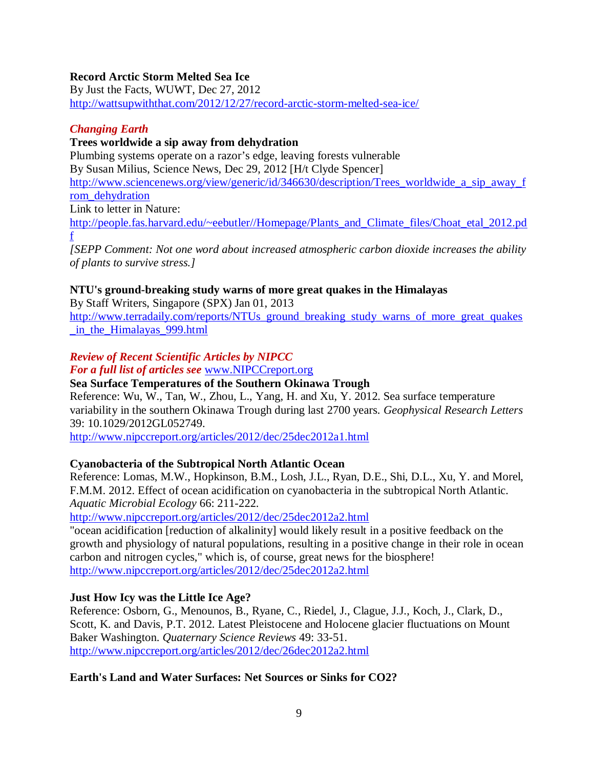## **Record Arctic Storm Melted Sea Ice**

By Just the Facts, WUWT, Dec 27, 2012

http://wattsupwiththat.com/2012/12/27/record-arctic-storm-melted-sea-ice/

#### *Changing Earth*

### **Trees worldwide a sip away from dehydration**

Plumbing systems operate on a razor's edge, leaving forests vulnerable By Susan Milius, Science News, Dec 29, 2012 [H/t Clyde Spencer] http://www.sciencenews.org/view/generic/id/346630/description/Trees\_worldwide\_a\_sip\_away\_f rom\_dehydration Link to letter in Nature: http://people.fas.harvard.edu/~eebutler//Homepage/Plants\_and\_Climate\_files/Choat\_etal\_2012.pd

f

*[SEPP Comment: Not one word about increased atmospheric carbon dioxide increases the ability of plants to survive stress.]* 

#### **NTU's ground-breaking study warns of more great quakes in the Himalayas**

By Staff Writers, Singapore (SPX) Jan 01, 2013 http://www.terradaily.com/reports/NTUs ground breaking study warns of more great quakes \_in\_the\_Himalayas\_999.html

## *Review of Recent Scientific Articles by NIPCC*

#### *For a full list of articles see* www.NIPCCreport.org

#### **Sea Surface Temperatures of the Southern Okinawa Trough**

Reference: Wu, W., Tan, W., Zhou, L., Yang, H. and Xu, Y. 2012. Sea surface temperature variability in the southern Okinawa Trough during last 2700 years. *Geophysical Research Letters*  39: 10.1029/2012GL052749.

http://www.nipccreport.org/articles/2012/dec/25dec2012a1.html

#### **Cyanobacteria of the Subtropical North Atlantic Ocean**

Reference: Lomas, M.W., Hopkinson, B.M., Losh, J.L., Ryan, D.E., Shi, D.L., Xu, Y. and Morel, F.M.M. 2012. Effect of ocean acidification on cyanobacteria in the subtropical North Atlantic. *Aquatic Microbial Ecology* 66: 211-222.

http://www.nipccreport.org/articles/2012/dec/25dec2012a2.html

"ocean acidification [reduction of alkalinity] would likely result in a positive feedback on the growth and physiology of natural populations, resulting in a positive change in their role in ocean carbon and nitrogen cycles," which is, of course, great news for the biosphere! http://www.nipccreport.org/articles/2012/dec/25dec2012a2.html

#### **Just How Icy was the Little Ice Age?**

Reference: Osborn, G., Menounos, B., Ryane, C., Riedel, J., Clague, J.J., Koch, J., Clark, D., Scott, K. and Davis, P.T. 2012. Latest Pleistocene and Holocene glacier fluctuations on Mount Baker Washington. *Quaternary Science Reviews* 49: 33-51. http://www.nipccreport.org/articles/2012/dec/26dec2012a2.html

#### **Earth's Land and Water Surfaces: Net Sources or Sinks for CO2?**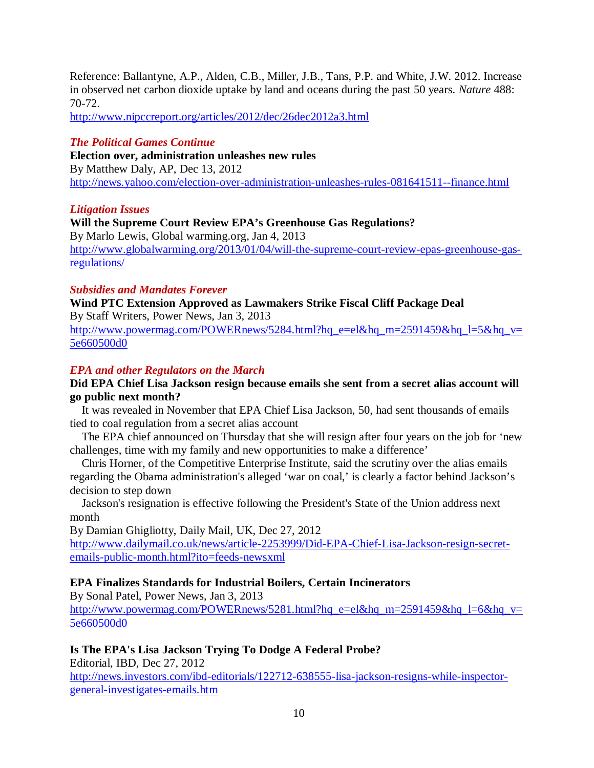Reference: Ballantyne, A.P., Alden, C.B., Miller, J.B., Tans, P.P. and White, J.W. 2012. Increase in observed net carbon dioxide uptake by land and oceans during the past 50 years. *Nature* 488: 70-72.

http://www.nipccreport.org/articles/2012/dec/26dec2012a3.html

#### *The Political Games Continue*

**Election over, administration unleashes new rules**  By Matthew Daly, AP, Dec 13, 2012 http://news.yahoo.com/election-over-administration-unleashes-rules-081641511--finance.html

#### *Litigation Issues*

**Will the Supreme Court Review EPA's Greenhouse Gas Regulations?**  By Marlo Lewis, Global warming.org, Jan 4, 2013 http://www.globalwarming.org/2013/01/04/will-the-supreme-court-review-epas-greenhouse-gasregulations/

## *Subsidies and Mandates Forever*

**Wind PTC Extension Approved as Lawmakers Strike Fiscal Cliff Package Deal**  By Staff Writers, Power News, Jan 3, 2013

http://www.powermag.com/POWERnews/5284.html?hq\_e=el&hq\_m=2591459&hq\_l=5&hq\_v= 5e660500d0

## *EPA and other Regulators on the March*

#### **Did EPA Chief Lisa Jackson resign because emails she sent from a secret alias account will go public next month?**

 It was revealed in November that EPA Chief Lisa Jackson, 50, had sent thousands of emails tied to coal regulation from a secret alias account

 The EPA chief announced on Thursday that she will resign after four years on the job for 'new challenges, time with my family and new opportunities to make a difference'

 Chris Horner, of the Competitive Enterprise Institute, said the scrutiny over the alias emails regarding the Obama administration's alleged 'war on coal,' is clearly a factor behind Jackson's decision to step down

 Jackson's resignation is effective following the President's State of the Union address next month

By Damian Ghigliotty, Daily Mail, UK, Dec 27, 2012

http://www.dailymail.co.uk/news/article-2253999/Did-EPA-Chief-Lisa-Jackson-resign-secretemails-public-month.html?ito=feeds-newsxml

#### **EPA Finalizes Standards for Industrial Boilers, Certain Incinerators**

By Sonal Patel, Power News, Jan 3, 2013

http://www.powermag.com/POWERnews/5281.html?hq\_e=el&hq\_m=2591459&hq\_l=6&hq\_v= 5e660500d0

## **Is The EPA's Lisa Jackson Trying To Dodge A Federal Probe?**

Editorial, IBD, Dec 27, 2012 http://news.investors.com/ibd-editorials/122712-638555-lisa-jackson-resigns-while-inspectorgeneral-investigates-emails.htm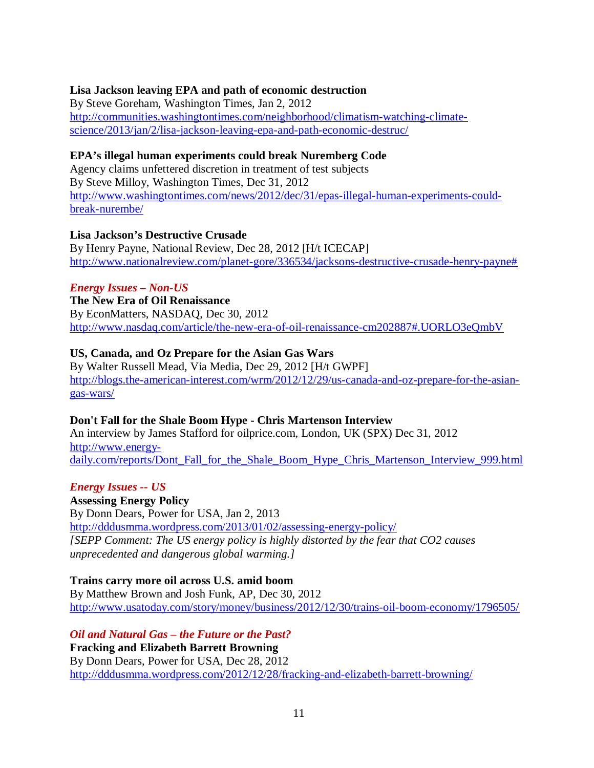#### **Lisa Jackson leaving EPA and path of economic destruction**

By Steve Goreham, Washington Times, Jan 2, 2012 http://communities.washingtontimes.com/neighborhood/climatism-watching-climatescience/2013/jan/2/lisa-jackson-leaving-epa-and-path-economic-destruc/

#### **EPA's illegal human experiments could break Nuremberg Code**

Agency claims unfettered discretion in treatment of test subjects By Steve Milloy, Washington Times, Dec 31, 2012 http://www.washingtontimes.com/news/2012/dec/31/epas-illegal-human-experiments-couldbreak-nurembe/

#### **Lisa Jackson's Destructive Crusade**

By Henry Payne, National Review, Dec 28, 2012 [H/t ICECAP] http://www.nationalreview.com/planet-gore/336534/jacksons-destructive-crusade-henry-payne#

## *Energy Issues – Non-US*

**The New Era of Oil Renaissance**  By EconMatters, NASDAQ, Dec 30, 2012 http://www.nasdaq.com/article/the-new-era-of-oil-renaissance-cm202887#.UORLO3eQmbV

## **US, Canada, and Oz Prepare for the Asian Gas Wars**

By Walter Russell Mead, Via Media, Dec 29, 2012 [H/t GWPF] http://blogs.the-american-interest.com/wrm/2012/12/29/us-canada-and-oz-prepare-for-the-asiangas-wars/

## **Don't Fall for the Shale Boom Hype - Chris Martenson Interview**

An interview by James Stafford for oilprice.com, London, UK (SPX) Dec 31, 2012 http://www.energydaily.com/reports/Dont Fall for the Shale Boom Hype Chris Martenson Interview 999.html

#### *Energy Issues -- US*

**Assessing Energy Policy** By Donn Dears, Power for USA, Jan 2, 2013 http://dddusmma.wordpress.com/2013/01/02/assessing-energy-policy/ *[SEPP Comment: The US energy policy is highly distorted by the fear that CO2 causes unprecedented and dangerous global warming.]* 

## **Trains carry more oil across U.S. amid boom**

By Matthew Brown and Josh Funk, AP, Dec 30, 2012 http://www.usatoday.com/story/money/business/2012/12/30/trains-oil-boom-economy/1796505/

*Oil and Natural Gas – the Future or the Past?* **Fracking and Elizabeth Barrett Browning**  By Donn Dears, Power for USA, Dec 28, 2012 http://dddusmma.wordpress.com/2012/12/28/fracking-and-elizabeth-barrett-browning/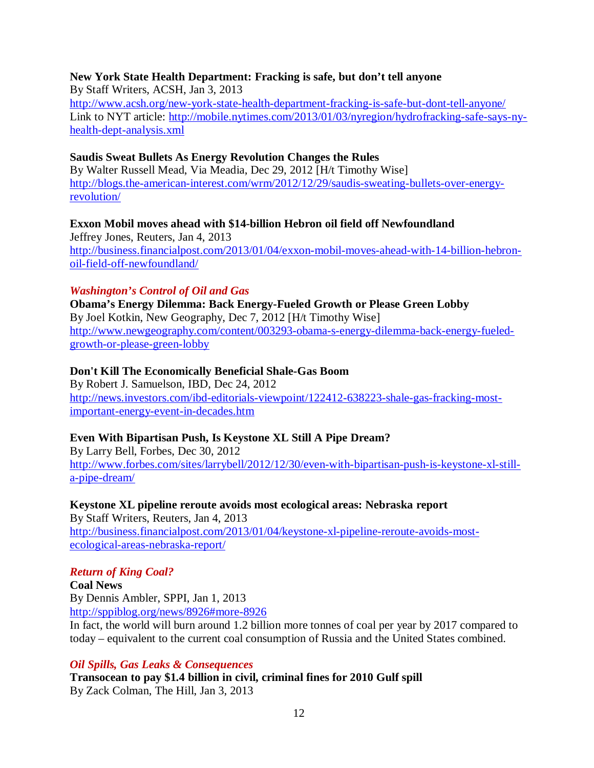## **New York State Health Department: Fracking is safe, but don't tell anyone**

By Staff Writers, ACSH, Jan 3, 2013 http://www.acsh.org/new-york-state-health-department-fracking-is-safe-but-dont-tell-anyone/ Link to NYT article: http://mobile.nytimes.com/2013/01/03/nyregion/hydrofracking-safe-says-nyhealth-dept-analysis.xml

#### **Saudis Sweat Bullets As Energy Revolution Changes the Rules**

By Walter Russell Mead, Via Meadia, Dec 29, 2012 [H/t Timothy Wise] http://blogs.the-american-interest.com/wrm/2012/12/29/saudis-sweating-bullets-over-energyrevolution/

## **Exxon Mobil moves ahead with \$14-billion Hebron oil field off Newfoundland**

Jeffrey Jones, Reuters, Jan 4, 2013 http://business.financialpost.com/2013/01/04/exxon-mobil-moves-ahead-with-14-billion-hebronoil-field-off-newfoundland/

#### *Washington's Control of Oil and Gas*

**Obama's Energy Dilemma: Back Energy-Fueled Growth or Please Green Lobby**  By Joel Kotkin, New Geography, Dec 7, 2012 [H/t Timothy Wise] http://www.newgeography.com/content/003293-obama-s-energy-dilemma-back-energy-fueledgrowth-or-please-green-lobby

#### **Don't Kill The Economically Beneficial Shale-Gas Boom**

By Robert J. Samuelson, IBD, Dec 24, 2012 http://news.investors.com/ibd-editorials-viewpoint/122412-638223-shale-gas-fracking-mostimportant-energy-event-in-decades.htm

## **Even With Bipartisan Push, Is Keystone XL Still A Pipe Dream?**

By Larry Bell, Forbes, Dec 30, 2012 http://www.forbes.com/sites/larrybell/2012/12/30/even-with-bipartisan-push-is-keystone-xl-stilla-pipe-dream/

## **Keystone XL pipeline reroute avoids most ecological areas: Nebraska report**

By Staff Writers, Reuters, Jan 4, 2013 http://business.financialpost.com/2013/01/04/keystone-xl-pipeline-reroute-avoids-mostecological-areas-nebraska-report/

## *Return of King Coal?*

**Coal News**  By Dennis Ambler, SPPI, Jan 1, 2013 http://sppiblog.org/news/8926#more-8926

In fact, the world will burn around 1.2 billion more tonnes of coal per year by 2017 compared to today – equivalent to the current coal consumption of Russia and the United States combined.

#### *Oil Spills, Gas Leaks & Consequences*

**Transocean to pay \$1.4 billion in civil, criminal fines for 2010 Gulf spill**  By Zack Colman, The Hill, Jan 3, 2013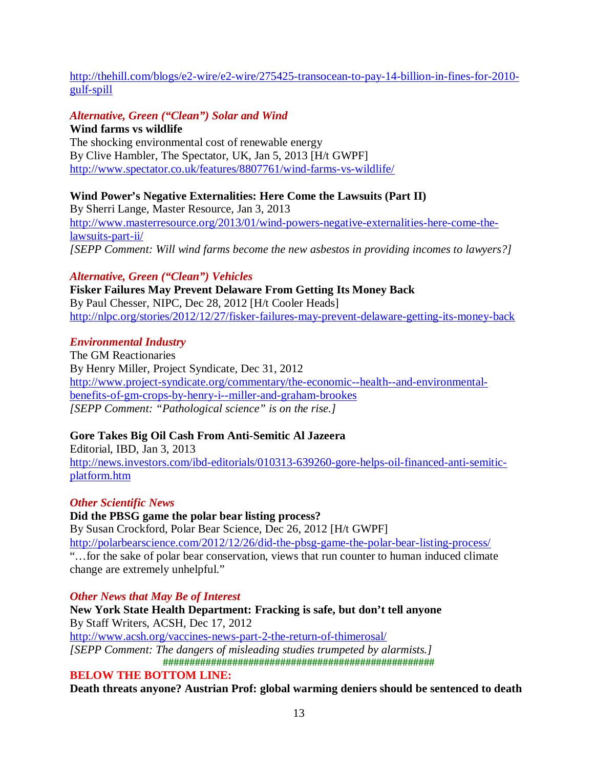http://thehill.com/blogs/e2-wire/e2-wire/275425-transocean-to-pay-14-billion-in-fines-for-2010 gulf-spill

## *Alternative, Green ("Clean") Solar and Wind*

**Wind farms vs wildlife**  The shocking environmental cost of renewable energy By Clive Hambler, The Spectator, UK, Jan 5, 2013 [H/t GWPF] http://www.spectator.co.uk/features/8807761/wind-farms-vs-wildlife/

## **Wind Power's Negative Externalities: Here Come the Lawsuits (Part II)**

By Sherri Lange, Master Resource, Jan 3, 2013 http://www.masterresource.org/2013/01/wind-powers-negative-externalities-here-come-thelawsuits-part-ii/ *[SEPP Comment: Will wind farms become the new asbestos in providing incomes to lawyers?]* 

## *Alternative, Green ("Clean") Vehicles*

**Fisker Failures May Prevent Delaware From Getting Its Money Back**  By Paul Chesser, NIPC, Dec 28, 2012 [H/t Cooler Heads] http://nlpc.org/stories/2012/12/27/fisker-failures-may-prevent-delaware-getting-its-money-back

## *Environmental Industry*

The GM Reactionaries By Henry Miller, Project Syndicate, Dec 31, 2012 http://www.project-syndicate.org/commentary/the-economic--health--and-environmentalbenefits-of-gm-crops-by-henry-i--miller-and-graham-brookes *[SEPP Comment: "Pathological science" is on the rise.]* 

## **Gore Takes Big Oil Cash From Anti-Semitic Al Jazeera**

Editorial, IBD, Jan 3, 2013 http://news.investors.com/ibd-editorials/010313-639260-gore-helps-oil-financed-anti-semiticplatform.htm

## *Other Scientific News*

**Did the PBSG game the polar bear listing process?**  By Susan Crockford, Polar Bear Science, Dec 26, 2012 [H/t GWPF] http://polarbearscience.com/2012/12/26/did-the-pbsg-game-the-polar-bear-listing-process/ "…for the sake of polar bear conservation, views that run counter to human induced climate change are extremely unhelpful."

## *Other News that May Be of Interest*

**New York State Health Department: Fracking is safe, but don't tell anyone**  By Staff Writers, ACSH, Dec 17, 2012 http://www.acsh.org/vaccines-news-part-2-the-return-of-thimerosal/ *[SEPP Comment: The dangers of misleading studies trumpeted by alarmists.]*  **################################################### BELOW THE BOTTOM LINE:** 

**Death threats anyone? Austrian Prof: global warming deniers should be sentenced to death**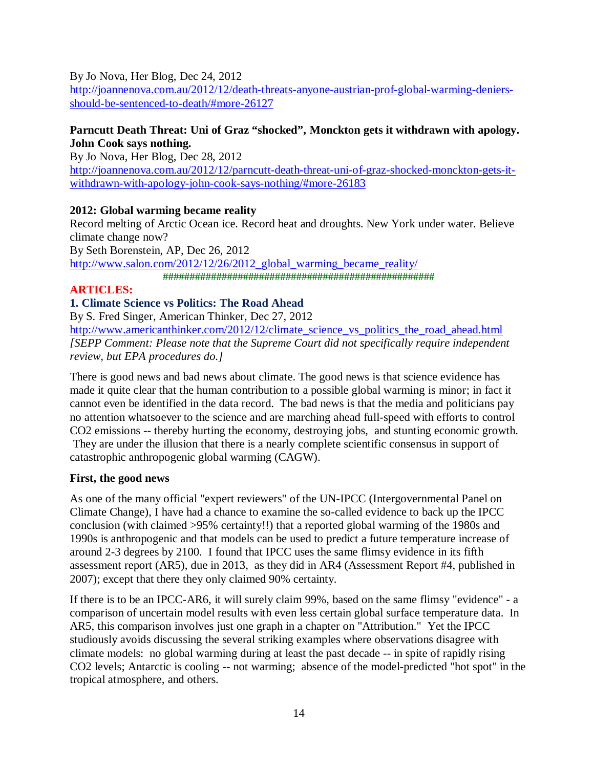#### By Jo Nova, Her Blog, Dec 24, 2012

http://joannenova.com.au/2012/12/death-threats-anyone-austrian-prof-global-warming-deniersshould-be-sentenced-to-death/#more-26127

## **Parncutt Death Threat: Uni of Graz "shocked", Monckton gets it withdrawn with apology. John Cook says nothing.**

By Jo Nova, Her Blog, Dec 28, 2012

http://joannenova.com.au/2012/12/parncutt-death-threat-uni-of-graz-shocked-monckton-gets-itwithdrawn-with-apology-john-cook-says-nothing/#more-26183

## **2012: Global warming became reality**

Record melting of Arctic Ocean ice. Record heat and droughts. New York under water. Believe climate change now?

By Seth Borenstein, AP, Dec 26, 2012 http://www.salon.com/2012/12/26/2012\_global\_warming\_became\_reality/ **###################################################** 

## **ARTICLES:**

## **1. Climate Science vs Politics: The Road Ahead**

By S. Fred Singer, American Thinker, Dec 27, 2012

http://www.americanthinker.com/2012/12/climate\_science\_vs\_politics\_the\_road\_ahead.html *[SEPP Comment: Please note that the Supreme Court did not specifically require independent review, but EPA procedures do.]* 

There is good news and bad news about climate. The good news is that science evidence has made it quite clear that the human contribution to a possible global warming is minor; in fact it cannot even be identified in the data record. The bad news is that the media and politicians pay no attention whatsoever to the science and are marching ahead full-speed with efforts to control CO2 emissions -- thereby hurting the economy, destroying jobs, and stunting economic growth. They are under the illusion that there is a nearly complete scientific consensus in support of catastrophic anthropogenic global warming (CAGW).

## **First, the good news**

As one of the many official "expert reviewers" of the UN-IPCC (Intergovernmental Panel on Climate Change), I have had a chance to examine the so-called evidence to back up the IPCC conclusion (with claimed >95% certainty!!) that a reported global warming of the 1980s and 1990s is anthropogenic and that models can be used to predict a future temperature increase of around 2-3 degrees by 2100. I found that IPCC uses the same flimsy evidence in its fifth assessment report (AR5), due in 2013, as they did in AR4 (Assessment Report #4, published in 2007); except that there they only claimed 90% certainty.

If there is to be an IPCC-AR6, it will surely claim 99%, based on the same flimsy "evidence" - a comparison of uncertain model results with even less certain global surface temperature data. In AR5, this comparison involves just one graph in a chapter on "Attribution." Yet the IPCC studiously avoids discussing the several striking examples where observations disagree with climate models: no global warming during at least the past decade -- in spite of rapidly rising CO2 levels; Antarctic is cooling -- not warming; absence of the model-predicted "hot spot" in the tropical atmosphere, and others.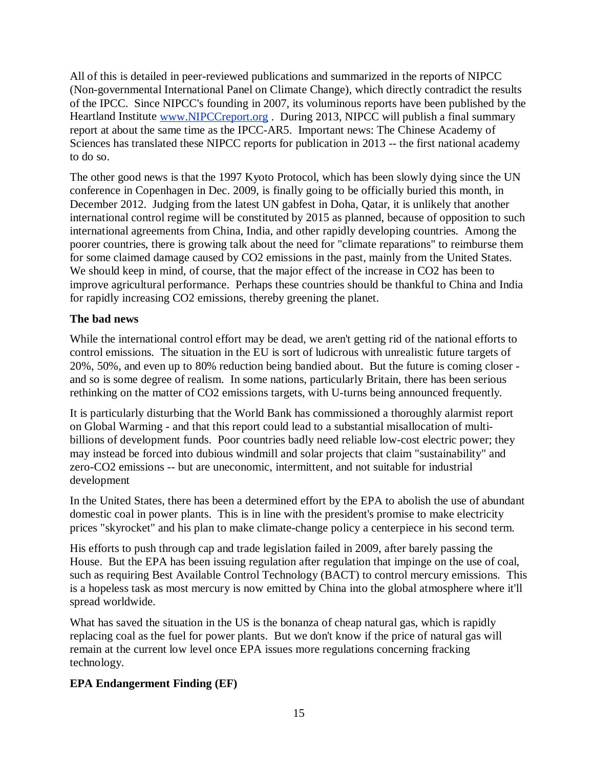All of this is detailed in peer-reviewed publications and summarized in the reports of NIPCC (Non-governmental International Panel on Climate Change), which directly contradict the results of the IPCC. Since NIPCC's founding in 2007, its voluminous reports have been published by the Heartland Institute www.NIPCCreport.org . During 2013, NIPCC will publish a final summary report at about the same time as the IPCC-AR5. Important news: The Chinese Academy of Sciences has translated these NIPCC reports for publication in 2013 -- the first national academy to do so.

The other good news is that the 1997 Kyoto Protocol, which has been slowly dying since the UN conference in Copenhagen in Dec. 2009, is finally going to be officially buried this month, in December 2012. Judging from the latest UN gabfest in Doha, Qatar, it is unlikely that another international control regime will be constituted by 2015 as planned, because of opposition to such international agreements from China, India, and other rapidly developing countries. Among the poorer countries, there is growing talk about the need for "climate reparations" to reimburse them for some claimed damage caused by CO2 emissions in the past, mainly from the United States. We should keep in mind, of course, that the major effect of the increase in CO2 has been to improve agricultural performance. Perhaps these countries should be thankful to China and India for rapidly increasing CO2 emissions, thereby greening the planet.

## **The bad news**

While the international control effort may be dead, we aren't getting rid of the national efforts to control emissions. The situation in the EU is sort of ludicrous with unrealistic future targets of 20%, 50%, and even up to 80% reduction being bandied about. But the future is coming closer and so is some degree of realism. In some nations, particularly Britain, there has been serious rethinking on the matter of CO2 emissions targets, with U-turns being announced frequently.

It is particularly disturbing that the World Bank has commissioned a thoroughly alarmist report on Global Warming - and that this report could lead to a substantial misallocation of multibillions of development funds. Poor countries badly need reliable low-cost electric power; they may instead be forced into dubious windmill and solar projects that claim "sustainability" and zero-CO2 emissions -- but are uneconomic, intermittent, and not suitable for industrial development

In the United States, there has been a determined effort by the EPA to abolish the use of abundant domestic coal in power plants. This is in line with the president's promise to make electricity prices "skyrocket" and his plan to make climate-change policy a centerpiece in his second term.

His efforts to push through cap and trade legislation failed in 2009, after barely passing the House. But the EPA has been issuing regulation after regulation that impinge on the use of coal, such as requiring Best Available Control Technology (BACT) to control mercury emissions. This is a hopeless task as most mercury is now emitted by China into the global atmosphere where it'll spread worldwide.

What has saved the situation in the US is the bonanza of cheap natural gas, which is rapidly replacing coal as the fuel for power plants. But we don't know if the price of natural gas will remain at the current low level once EPA issues more regulations concerning fracking technology.

## **EPA Endangerment Finding (EF)**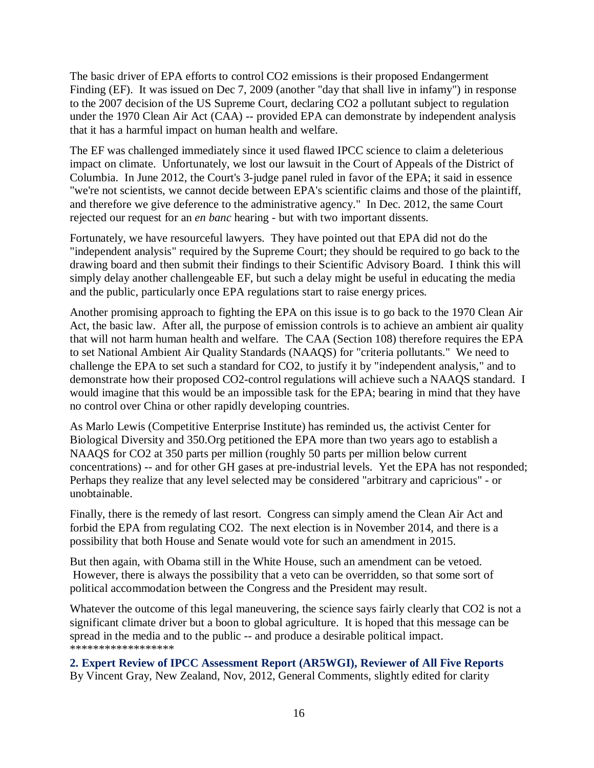The basic driver of EPA efforts to control CO2 emissions is their proposed Endangerment Finding (EF). It was issued on Dec 7, 2009 (another "day that shall live in infamy") in response to the 2007 decision of the US Supreme Court, declaring CO2 a pollutant subject to regulation under the 1970 Clean Air Act (CAA) -- provided EPA can demonstrate by independent analysis that it has a harmful impact on human health and welfare.

The EF was challenged immediately since it used flawed IPCC science to claim a deleterious impact on climate. Unfortunately, we lost our lawsuit in the Court of Appeals of the District of Columbia. In June 2012, the Court's 3-judge panel ruled in favor of the EPA; it said in essence "we're not scientists, we cannot decide between EPA's scientific claims and those of the plaintiff, and therefore we give deference to the administrative agency." In Dec. 2012, the same Court rejected our request for an *en banc* hearing - but with two important dissents.

Fortunately, we have resourceful lawyers. They have pointed out that EPA did not do the "independent analysis" required by the Supreme Court; they should be required to go back to the drawing board and then submit their findings to their Scientific Advisory Board. I think this will simply delay another challengeable EF, but such a delay might be useful in educating the media and the public, particularly once EPA regulations start to raise energy prices.

Another promising approach to fighting the EPA on this issue is to go back to the 1970 Clean Air Act, the basic law. After all, the purpose of emission controls is to achieve an ambient air quality that will not harm human health and welfare. The CAA (Section 108) therefore requires the EPA to set National Ambient Air Quality Standards (NAAQS) for "criteria pollutants." We need to challenge the EPA to set such a standard for CO2, to justify it by "independent analysis," and to demonstrate how their proposed CO2-control regulations will achieve such a NAAQS standard. I would imagine that this would be an impossible task for the EPA; bearing in mind that they have no control over China or other rapidly developing countries.

As Marlo Lewis (Competitive Enterprise Institute) has reminded us, the activist Center for Biological Diversity and 350.Org petitioned the EPA more than two years ago to establish a NAAQS for CO2 at 350 parts per million (roughly 50 parts per million below current concentrations) -- and for other GH gases at pre-industrial levels. Yet the EPA has not responded; Perhaps they realize that any level selected may be considered "arbitrary and capricious" - or unobtainable.

Finally, there is the remedy of last resort. Congress can simply amend the Clean Air Act and forbid the EPA from regulating CO2. The next election is in November 2014, and there is a possibility that both House and Senate would vote for such an amendment in 2015.

But then again, with Obama still in the White House, such an amendment can be vetoed. However, there is always the possibility that a veto can be overridden, so that some sort of political accommodation between the Congress and the President may result.

Whatever the outcome of this legal maneuvering, the science says fairly clearly that CO2 is not a significant climate driver but a boon to global agriculture. It is hoped that this message can be spread in the media and to the public -- and produce a desirable political impact. \*\*\*\*\*\*\*\*\*\*\*\*\*\*\*\*\*\*

**2. Expert Review of IPCC Assessment Report (AR5WGI), Reviewer of All Five Reports**  By Vincent Gray, New Zealand, Nov, 2012, General Comments, slightly edited for clarity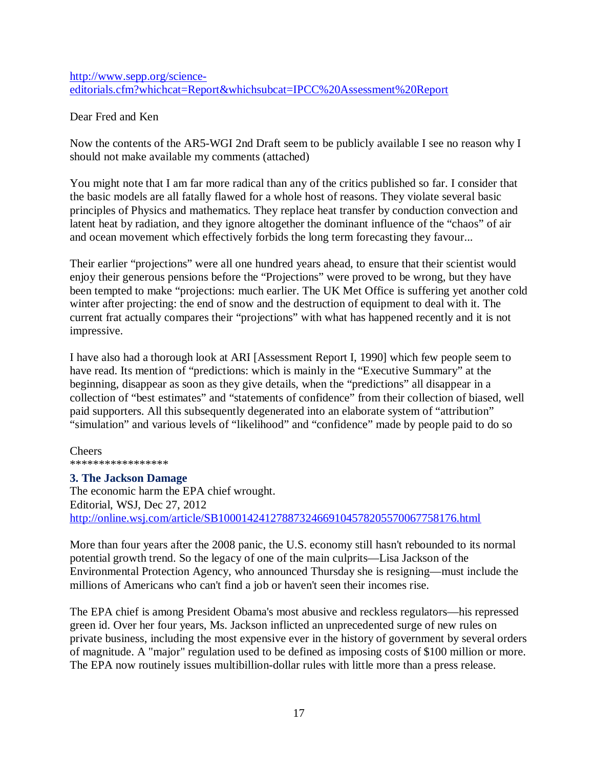http://www.sepp.org/scienceeditorials.cfm?whichcat=Report&whichsubcat=IPCC%20Assessment%20Report

Dear Fred and Ken

Now the contents of the AR5-WGI 2nd Draft seem to be publicly available I see no reason why I should not make available my comments (attached)

You might note that I am far more radical than any of the critics published so far. I consider that the basic models are all fatally flawed for a whole host of reasons. They violate several basic principles of Physics and mathematics. They replace heat transfer by conduction convection and latent heat by radiation, and they ignore altogether the dominant influence of the "chaos" of air and ocean movement which effectively forbids the long term forecasting they favour...

Their earlier "projections" were all one hundred years ahead, to ensure that their scientist would enjoy their generous pensions before the "Projections" were proved to be wrong, but they have been tempted to make "projections: much earlier. The UK Met Office is suffering yet another cold winter after projecting: the end of snow and the destruction of equipment to deal with it. The current frat actually compares their "projections" with what has happened recently and it is not impressive.

I have also had a thorough look at ARI [Assessment Report I, 1990] which few people seem to have read. Its mention of "predictions: which is mainly in the "Executive Summary" at the beginning, disappear as soon as they give details, when the "predictions" all disappear in a collection of "best estimates" and "statements of confidence" from their collection of biased, well paid supporters. All this subsequently degenerated into an elaborate system of "attribution" "simulation" and various levels of "likelihood" and "confidence" made by people paid to do so

Cheers \*\*\*\*\*\*\*\*\*\*\*\*\*\*\*\*\*

#### **3. The Jackson Damage**

The economic harm the EPA chief wrought. Editorial, WSJ, Dec 27, 2012 http://online.wsj.com/article/SB10001424127887324669104578205570067758176.html

More than four years after the 2008 panic, the U.S. economy still hasn't rebounded to its normal potential growth trend. So the legacy of one of the main culprits—Lisa Jackson of the Environmental Protection Agency, who announced Thursday she is resigning—must include the millions of Americans who can't find a job or haven't seen their incomes rise.

The EPA chief is among President Obama's most abusive and reckless regulators—his repressed green id. Over her four years, Ms. Jackson inflicted an unprecedented surge of new rules on private business, including the most expensive ever in the history of government by several orders of magnitude. A "major" regulation used to be defined as imposing costs of \$100 million or more. The EPA now routinely issues multibillion-dollar rules with little more than a press release.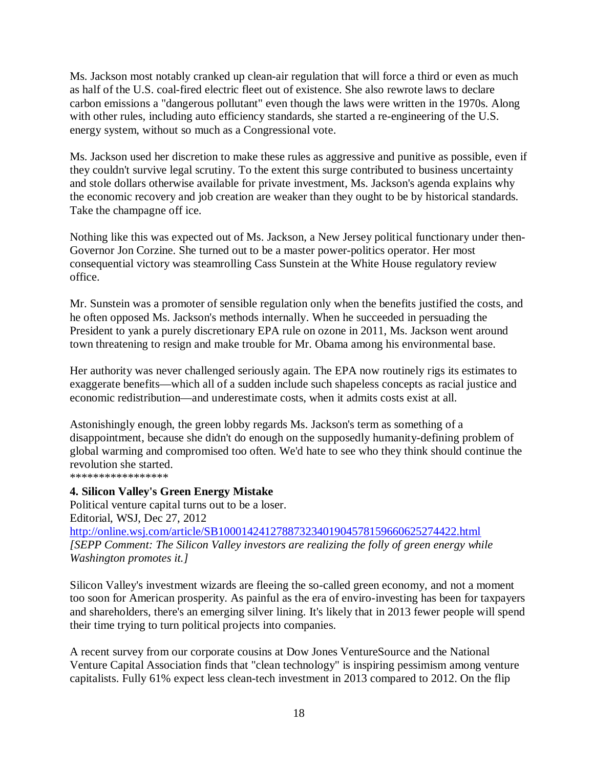Ms. Jackson most notably cranked up clean-air regulation that will force a third or even as much as half of the U.S. coal-fired electric fleet out of existence. She also rewrote laws to declare carbon emissions a "dangerous pollutant" even though the laws were written in the 1970s. Along with other rules, including auto efficiency standards, she started a re-engineering of the U.S. energy system, without so much as a Congressional vote.

Ms. Jackson used her discretion to make these rules as aggressive and punitive as possible, even if they couldn't survive legal scrutiny. To the extent this surge contributed to business uncertainty and stole dollars otherwise available for private investment, Ms. Jackson's agenda explains why the economic recovery and job creation are weaker than they ought to be by historical standards. Take the champagne off ice.

Nothing like this was expected out of Ms. Jackson, a New Jersey political functionary under then-Governor Jon Corzine. She turned out to be a master power-politics operator. Her most consequential victory was steamrolling Cass Sunstein at the White House regulatory review office.

Mr. Sunstein was a promoter of sensible regulation only when the benefits justified the costs, and he often opposed Ms. Jackson's methods internally. When he succeeded in persuading the President to yank a purely discretionary EPA rule on ozone in 2011, Ms. Jackson went around town threatening to resign and make trouble for Mr. Obama among his environmental base.

Her authority was never challenged seriously again. The EPA now routinely rigs its estimates to exaggerate benefits—which all of a sudden include such shapeless concepts as racial justice and economic redistribution—and underestimate costs, when it admits costs exist at all.

Astonishingly enough, the green lobby regards Ms. Jackson's term as something of a disappointment, because she didn't do enough on the supposedly humanity-defining problem of global warming and compromised too often. We'd hate to see who they think should continue the revolution she started.

\*\*\*\*\*\*\*\*\*\*\*\*\*\*\*\*\*

## **4. Silicon Valley's Green Energy Mistake**

Political venture capital turns out to be a loser. Editorial, WSJ, Dec 27, 2012 http://online.wsj.com/article/SB10001424127887323401904578159660625274422.html *[SEPP Comment: The Silicon Valley investors are realizing the folly of green energy while Washington promotes it.]*

Silicon Valley's investment wizards are fleeing the so-called green economy, and not a moment too soon for American prosperity. As painful as the era of enviro-investing has been for taxpayers and shareholders, there's an emerging silver lining. It's likely that in 2013 fewer people will spend their time trying to turn political projects into companies.

A recent survey from our corporate cousins at Dow Jones VentureSource and the National Venture Capital Association finds that "clean technology" is inspiring pessimism among venture capitalists. Fully 61% expect less clean-tech investment in 2013 compared to 2012. On the flip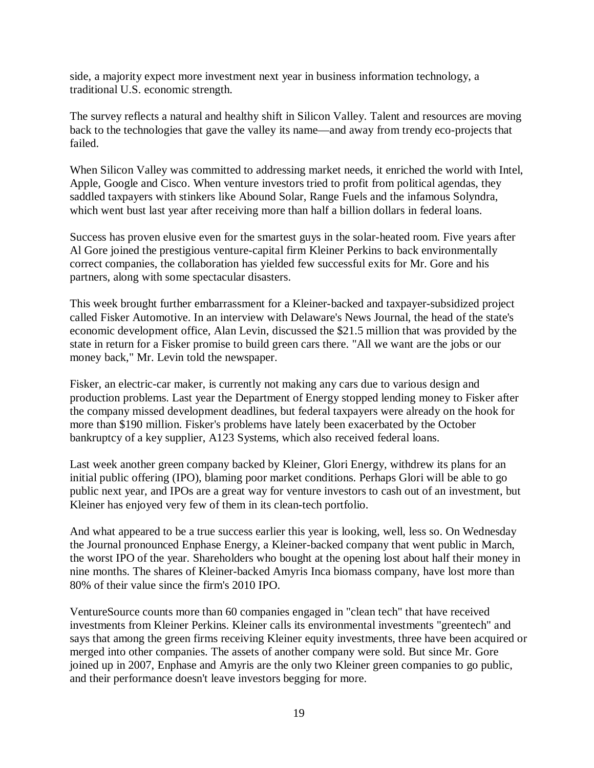side, a majority expect more investment next year in business information technology, a traditional U.S. economic strength.

The survey reflects a natural and healthy shift in Silicon Valley. Talent and resources are moving back to the technologies that gave the valley its name—and away from trendy eco-projects that failed.

When Silicon Valley was committed to addressing market needs, it enriched the world with Intel, Apple, Google and Cisco. When venture investors tried to profit from political agendas, they saddled taxpayers with stinkers like Abound Solar, Range Fuels and the infamous Solyndra, which went bust last year after receiving more than half a billion dollars in federal loans.

Success has proven elusive even for the smartest guys in the solar-heated room. Five years after Al Gore joined the prestigious venture-capital firm Kleiner Perkins to back environmentally correct companies, the collaboration has yielded few successful exits for Mr. Gore and his partners, along with some spectacular disasters.

This week brought further embarrassment for a Kleiner-backed and taxpayer-subsidized project called Fisker Automotive. In an interview with Delaware's News Journal, the head of the state's economic development office, Alan Levin, discussed the \$21.5 million that was provided by the state in return for a Fisker promise to build green cars there. "All we want are the jobs or our money back," Mr. Levin told the newspaper.

Fisker, an electric-car maker, is currently not making any cars due to various design and production problems. Last year the Department of Energy stopped lending money to Fisker after the company missed development deadlines, but federal taxpayers were already on the hook for more than \$190 million. Fisker's problems have lately been exacerbated by the October bankruptcy of a key supplier, A123 Systems, which also received federal loans.

Last week another green company backed by Kleiner, Glori Energy, withdrew its plans for an initial public offering (IPO), blaming poor market conditions. Perhaps Glori will be able to go public next year, and IPOs are a great way for venture investors to cash out of an investment, but Kleiner has enjoyed very few of them in its clean-tech portfolio.

And what appeared to be a true success earlier this year is looking, well, less so. On Wednesday the Journal pronounced Enphase Energy, a Kleiner-backed company that went public in March, the worst IPO of the year. Shareholders who bought at the opening lost about half their money in nine months. The shares of Kleiner-backed Amyris Inca biomass company, have lost more than 80% of their value since the firm's 2010 IPO.

VentureSource counts more than 60 companies engaged in "clean tech" that have received investments from Kleiner Perkins. Kleiner calls its environmental investments "greentech" and says that among the green firms receiving Kleiner equity investments, three have been acquired or merged into other companies. The assets of another company were sold. But since Mr. Gore joined up in 2007, Enphase and Amyris are the only two Kleiner green companies to go public, and their performance doesn't leave investors begging for more.